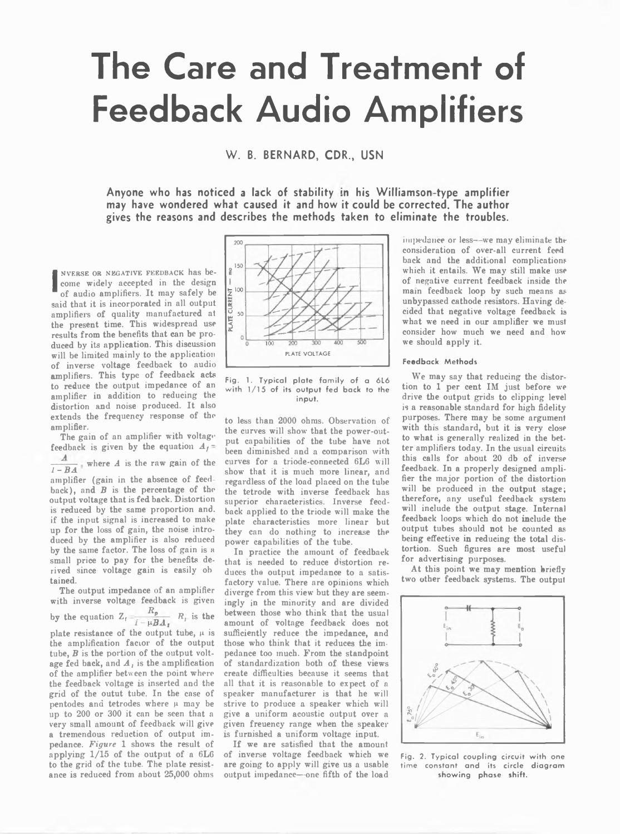# **The Care and Treatment of Feedback Audio Amplifiers**

**W. B. BERNARD, CDR., USN**

Anyone who has noticed a lack of stability in his Williamson-type amplifier **may have wondered what caused it and how it could be corrected. The author gives the reasons and describes the methods taken to eliminate the troubles.**

**I** NVERSE OR NEGATIVE FEEDBACK has become widely accepted in the design of audio amplifiers. It may safely be said that it is incorporated in all output amplifiers of quality manufactured at the present time. This widespread use results from the benefits that can be produced by its application. This discussion will be limited mainly to the application of inverse voltage feedback to audio amplifiers. This type of feedback acts to reduce the output impedance of an amplifier in addition to reducing the distortion and noise produced. It also extends the frequency response of the amplifier.

The gain of an amplifier with voltage feedback is given by the equation  $A_f =$ 

 $\frac{1}{1-BA}$  where *A* is the raw gain of the

amplifier (gain in the absence of feed back), and *B* is the percentage of the output voltage that is fed back. Distortion is reduced by the same proportion and. if the input signal is increased to make up for the loss of gain, the noise introduced by the amplifier is also reduced by the same factor. The loss of gain is a small price to pay for the benefits derived since voltage gain is easily oh tained.

The output impedance of an amplifier with inverse voltage feedback is given by the equation  $Z_t = \frac{R_p}{I - \mu B A_t}$   $R_t$  is the plate resistance of the output tube,  $\mu$  is the amplification factor of the output tube, *B* is the portion of the output voltage fed back, and  $A_i$  is the amplification of the amplifier between the point where the feedback voltage is inserted and the grid of the outut tube. In the case of pentodes and tetrodes where  $\mu$  may be up to 200 or 300 it can be seen that a very small amount of feedback will give a tremendous reduction of output impedance. *Figure* 1 shows the result of applying  $1/15$  of the output of a  $6L6$ to the grid of the tube. The plate resistance is reduced from about 25,000 ohms



**Fig. 1. Typical plate fam ily of a 616 with 1/15 of its output fed back to the input.**

to less than 2000 ohms. Observation of the curves will show that the power-output capabilities of the tube have not been diminished and a comparison with curves for a triode-connected 6L6 will show that it is much more linear, and regardless of the load placed on the tube the tetrode with inverse feedback has superior characteristics. Inverse feedback applied to the triode will make the plate characteristics more linear but they can do nothing to increase the power capabilities of the tube.

In practice the amount of feedback that is needed to reduce distortion reduces the output impedance to a satisfactory value. There are opinions which diverge from this view but they are seemingly in the minority and are divided between those who think that the usual amount of voltage feedback does not sufficiently reduce the impedance, and those who think that it reduces the impedance too much. From the standpoint of standardization both of these views create difficulties because it seems that all that it is reasonable to expect of a speaker manufacturer is that he will strive to produce a speaker which will give a uniform acoustic output over a given freuency range when the speaker is furnished a uniform voltage input.

If we are satisfied that the amount of inverse voltage feedback which we are going to apply will give us a usable output impedance— one fifth of the load

impedance or less--we may eliminate the consideration of over-all current feed back and the additional complications which it entails. We may still make use of negative current feedback inside the main feedback loop by such means as unbypassed cathode resistors. Having decided that negative voltage feedback is what we need in our amplifier we must consider how much we need and how we should apply it.

## **Feedback Methods**

We may say that reducing the distortion to 1 per cent IM just before we drive the output grids to clipping level is a reasonable standard for high fidelity purposes. There may be some argument with this standard, but it is very close to what is generally realized in the better amplifiers today. In the usual circuits this calls for about 20 db of inverse feedback. In a properly designed amplifier the major portion of the distortion will be produced in the output stage; therefore, any useful feedback system will include the output stage. Internal feedback loops which do not include the output tubes should not be counted as being effective in reducing the total distortion. Such figures are most useful for advertising purposes.

At this point we may mention briefly two other feedback systems. The output



**Fig. 2. Typical coupling circuit with one time constant and its circle diagram showing phase shift.**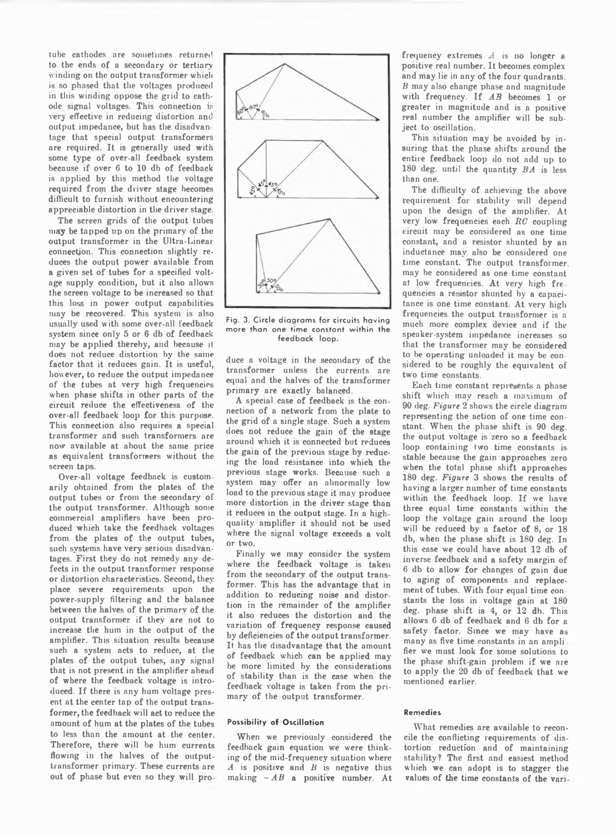tube cathodes are sometimes returned to the ends of a secondary or tertiary winding on the output transformer which is so phased that the voltages produced in this winding oppose the grid to cathode signal voltages. This connection is very effective in reducing distortion and output impedance, but has the disadvantage that special output transformers are required. It is generally used witn some type of over-all feedback system because if over 6 to 10 db of feedback is applied by this method the voltage required from the driver stage becomes difficult to furnish without encountering appreciable distortion in the driver stage.

The screen grids of the output tubes may be tapped up on the primary of the output transformer in the Ultra-Linear connection. This connection slightly reduces the output power available from a given set of tubes for a specified voltage supply condition, but it also allows the screen voltage to be increased so that this loss in power output capabilities may be recovered. This system is also usually used with some over-all feedback system since only 5 or 6 db of feedback may be applied thereby, and because it does not reduce distortion by the same factor that it reduces gain. It is useful, however, to reduce the output impedance of the tubes at very high frequencies when phase shifts in other parts of the circuit reduce the effectiveness of the over-all feedback loop for this purpose. This connection also requires a special transformer and such transformers are now available at about the same price as equivalent transformers without the screen taps.

Over-all voltage feedback is custom arily obtained from the plates of the output tubes or from the secondary of the output transformer. Although some commercial amplifiers have been produced which take the feedback voltages from the plates of the output tubes, such systems have very serious disadvantages. First they do not remedy any defects in the output transformer response or distortion characteristics. Second, they place severe requirements upon the power-supply filtering and the balance between the halves of the primarv of the output transformer if they are not to increase the hum in the output of the amplifier. This situation results because such a system acts to reduce, at the plates of the output tubes, any signal that is not present in the amplifier ahead of where the feedback voltage is introduced. If there is any hum voltage present at the center tap of the output transformer, the feedback will act to reduce the amount of hum at the plates of the tubes to less than the amount at the center. Therefore, there will be hum currents flowing in the halves of the outputtransformer primary. These currents are out of phase but even so they will pro



Fig. 3. Circle diagrams for circuits having **more than one time constont within the feedback loop.**

duce a voltage in the secondary of the transformer unless the currents are equal and the halves of the transformer primary are exactly balanced.

A special case of feedback is the connection of a network from the plate to the grid of a single stage. Such a system does not reduce the gain of the stage around which it is connected but reduces the gain of the previous stage by reducing the load resistance into which the previous stage works. Because such a system may offer an abnormally low load to the previous stage it may produce more distortion in the driver stage than it reduces in the output stage. In a highquaiity amplifier it should not be used where the signal voltage exceeds a volt or two.

Finally we may consider the system where the feedback voltage is taken from the secondary of the output transformer. This has the advantage that in addition to reducing noise and distortion in the remainder of the amplifier it also reduces the distortion and the variation of frequency response caused by deficiencies of the output transformer. It has the disadvantage that the amount of feedback which can be applied may be more limited by the considerations of stability than is the case when the feedback voltage is taken from the primary of the output transformer.

## **Possibility of Oscillation**

When we previously considered the feedback gain equation we were thinking of the mid-frequency situation where *A* is positive and *B* is negative thus making  $-AB$  a positive number. At frequency extremes *A* is no longer a positive real number. It becomes complex and may lie in any of the four quadrants. *B* may also change phase and magnitude with frequency. If AB becomes 1 or greater in magnitude and is a positive real number the amplifier will be subject to oscillation.

This situation may be avoided by insuring that the phase shifts around the entire feedback loop do not add up to 180 deg. until the quantity *BA* is less than one.

The difficulty of achieving the above requirement for stability will depend upon the design of the amplifier. At very low frequencies each *RC* coupling eircuit may be considered as one time constant, and a resistor shunted by an inductance may also be considered one time constant. The output transformer, may be considered as one time constant at low frequencies. At very high fre quencies a resistor shunted by a capacitance is one time constant. At very high frequencies the output transformer is a much more complex device and if the speaker-system impedance increases so that the transformer may be considered to be operating unloaded it may be considered to be roughly the equivalent of two time constants.

Each time constant represents a phase shift which may reach a maximum of 90 deg. *Figure* 2 shows the circle diagram representing the action of one time constant. When the phase shift is 90 deg. the output voltage is zero so a feedback loop containing two time constants is stable because the gain approaches zero when the total phase shift approaches 180 deg. *Figure* 3 shows the results of having a larger number of time constants within the feedback loop. If we have three equal time constants within the loop the voltage gain around the loop will be reduced by a factor of 8, or 18 db, when the phase shift is 180 deg. In this case we could have about 12 db of inverse feedback and a safety margin of 6 db to allow for changes of gain due to aging of components and replacement of tubes. With four equal time con stants the loss in voltage gain at 180 deg. phase shift is 4, or 12 db. This allows 6 db of feedback and 6 db for a safety factor. Since we may have as many as five time constants in an ampli fier we must look for some solutions to the phase shift-gain problem if we are to apply the 20 db of feedback that we mentioned earlier.

#### **Remedies**

What remedies are available to reconcile the conflicting requirements of distortion reduction and of maintaining stability? The first and easiest method which we can adopt is to stagger the values of the time constants of the vari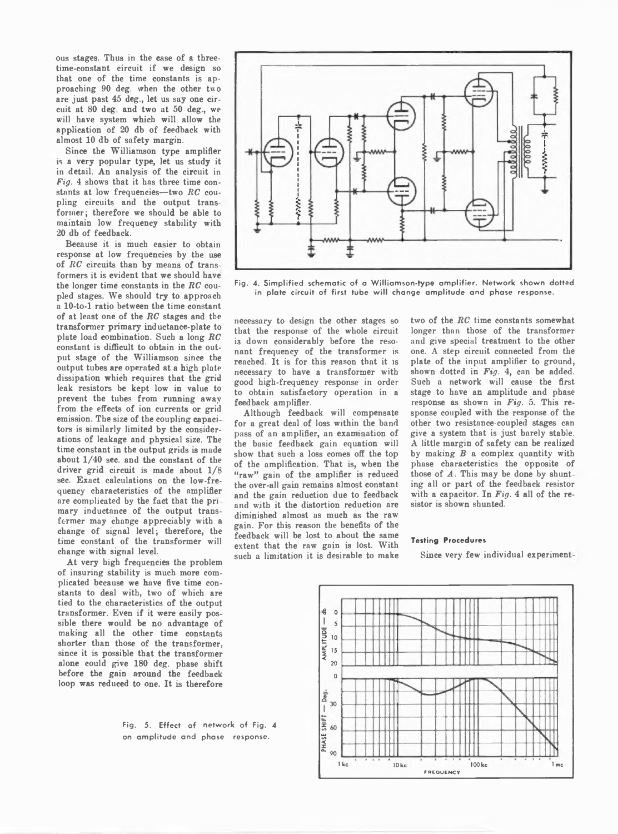ous stages. Thus in the case of a threetime-constant circuit if we design so that one of the time constants is approaching 90 deg. when the other two are just past 45 deg., let us say one cir cuit at 80 deg and two at 50 deg., we will have system which will allow the application of 20 db of feedback with almost 10 db of safety margin.

Since the Williamson type amplifier is a very popular type, let us study it in detail. An analysis of the circuit in *Fig.* 4 shows that it has three time constants at low frequencies— two *RC* coupling circuits and the output trans former; therefore we should be able to maintain low frequency stability with 20 db of feedback.

Because it is much easier to obtain response at low frequencies by the use of *RC* circuits than by means of transformers it is evident that we should have the longer time constants in the *RC* coupled stages. We should try to approach a 10-to-l ratio between the time constant of at least one of the *RC* stages and the transformer primary inductance-plate to plate load combination. Such a long *RC* constant is difficult to obtain in the output stage of the Williamson since the output tubes are operated at a high plate dissipation which requires that the grid leak resistors be kept low in value to prevent the tubes from running away from the effects of ion currents or grid emission. The size of the coupling capaci tors is similarly limited by the considerations of leakage and physical size. The time constant in the output grids is made about 1/40 sec. and the constant of the driver grid circuit is made about 1/8 sec. Exact calculations on the low-frequency characteristics of the amplifier are complicated by the fact that the pri mary inductance of the output transformer may change appreciably with a change of signal level; therefore, the time constant of the transformer will change with signal level.

At very high frequencies the problem of insuring stability is much more complicated because we have five time constants to deal with, two of which are tied to the characteristics of the output transformer. Even if it were easily possible there would be no advantage of making all the other time constants shorter than those of the transformer, since it is possible that the transformer alone could give 180 deg. phase shift before the gain around the feedback loop was reduced to one. It is therefore

**Fig. 5. Effect of network of Fig. 4 on am plitude and phase response.**



Fig. 4. Simplified schematic of a Williamson-type amplifier. Network shown dotted in plate circuit of first tube will change amplitude and phase response.

necessary to design the other stages so that the response of the whole circuit is down considerably before the resonant frequency of the transformer is reached. It is for this reason that it is necessary to have a transformer with good high-frequency response in order to obtain satisfactory operation in a feedback amplifier.

Although feedback will compensate for a great deal of loss within the band pass of an amplifier, an examination of the basic feedback gain equation will show that such a loss comes off the top of the amplification. That is, when the "raw" gain of the amplifier is reduced the over-all gain remains almost constant and the gain reduction due to feedback and with it the distortion reduction are diminished almost as much as the raw gain. For this reason the benefits of the feedback will be lost to about the same extent that the raw gain is lost. With such a limitation it is desirable to make two of the *RC* time constants somewhat longer than those of the transformer and give special treatment to the other one. A step circuit connected from the plate of the input amplifier to ground, shown dotted in *Fig.* 4, can be added. Such a network will cause the first stage to have an amplitude and phase response as shown in *Fig.* 5. This response coupled with the response of the other two resistance-coupled stages can give a system that is just barely stable. A little margin of safety can be realized by making *B* a complex quantity with phase characteristics the opposite of those of *A.* This may be done by shunt ing all or part of the feedback resistor with a capacitor. In *Fig.* 4 all of the resistor is shown shunted.

# **Testing Procedures**

Since very few individual experiment

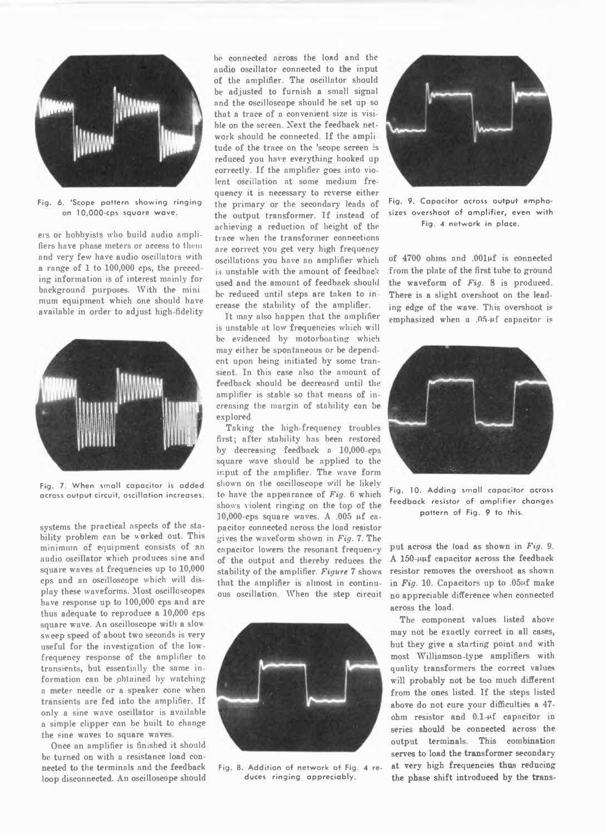

**Fig. 6. 'Scope pattern showing ringing** on 10,000-cps square wave.

ers or hobbyists who build audio amplifiers have phase meters or access to them and very few have audio oscillators with a range of 1 to 100,000 cps, the preceding information is of interest mainly for background purposes. With the mini mum equipment which one should have available in order to adjust high-fidelity



Fig. 7. When small capacitor is added **across output circuit, oscillation increases.**

systems the practical aspects of the stability problem can be worked out. This minimum of equipment consists of an audio oscillator which produces sine and square waves at frequencies up to 10,000 cps and an oscilloscope which will display these waveforms. Most oscilloscopes have response up to 100,000 cps and are thus adequate to reproduce a 10,000 cps square wave. An oscilloscope with a slow sweep speed of about two seconds is very useful for the investigation of the lowfrequency response of the amplifier to transients, but essentially the same information can be obtained by watching a meter needle or a speaker cone when transients are fed into the amplifier. If only a sine wave oscillator is available a simple clipper can be built to change the sine waves to square waves.

Once an amplifier is finished it should be turned on with a resistance load connected to the terminals and the feedback loop disconnected. An oscilloscope should be connected across the load and the audio oscillator connected to the input of the amplifier. The oscillator should be adjusted to furnish a small signal and the oscilloscope should be set up so that a trace of a convenient size is visible on the screen. Next the feedback network should be connected. If the amplitude of the trace on the 'scope screen is reduced you have everything hooked up correctly. If the amplifier goes into violent oscillation at some medium frequency it is necessary to reverse either the primary or the secondary leads of the output transformer. If instead of achieving a reduction of height of the trace when the transformer connections are correct you get very high frequency oscillations you have an amplifier which is unstable with the amount of feedback used and the amount of feedback should be reduced until steps are taken to in crease the stability of the amplifier.

It may also happen that the amplifier is unstable at low frequencies which will be evidenced by motorboating which may either be spontaneous or be dependent upon being initiated by some transient. In this case also the amount of feedback should be decreased until the amplifier is stable so that means of increasing the margin of stability can be explored

Taking the high-frequency troubles first; after stability has been restored by deereasing feedback a 10,000-cps square wave should be applied to the input of the amplifier. The wave form shown on the oscilloscope will be likely to have the appearance of *Fig.* 6 which shows \ iolent ringing on the top of the 10,000-cps square waves. A .005  $\mu$ f capacitor connected across the load resistor gives the waveform shown in *Fig.* 7. The capacitor lowers the resonant frequency of the output and thereby reduces the stability of the amplifier. *Figure* 7 shows that the amplifier is almost in continuous oscillation. When the step circuit



**Fig. 8. Addition of network ot Fig. 4 reduces ringing appreciably.**



Fig. 9. Capacitor across output empha**sizes overshoot of am plifier, even with Fig. 4 network in place.**

of 4700 ohms and .OOlpf is connected from the plate of the first tube to ground the waveform of *Fig.* 8 is produced. There is a slight overshoot on the leading edge of the wave. This overshoot is emphasized when a .05-uf capacitor is



**Fig. 10. Adding small capacitor across feedback resistor of am plifier changes pattern of Fig. 9 to this.**

put across the load as shown in *Fig.* 9. A  $150$ - $\mu$ H capacitor across the feedback resistor removes the overshoot as shown in *Fig.* 10. Capacitors up to ,05pf make no appreciable difference when connected across the load.

The component values listed above may not be exactly correct in all cases, but they give a starting point and with most Williamson-type amplifiers with quality transformers the correct values will probably not be too much different from the ones listed. If the steps listed above do not cure your difficulties a 47 ohm resistor and  $0.1 - \mu f$  capacitor in series should be connected across the output terminals. This combination serves to load the transformer secondary at very high frequencies thus reducing the phase shift introduced by the trans-